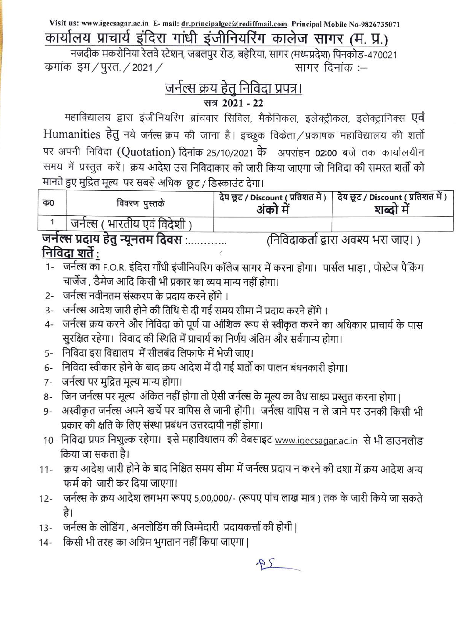Visit us: www.igecsagar.ac.in E- mail: dr.principalgec@rediffmail.com Principal Mobile No-9826735071 कार्यालय प्राचार्य इंदिरा गांधी इंजीनियरिंग कालेज सागर (म. प्र.)

नजदीक मकरोनिया रेलवे स्टेशन, जबलपुर रोड, बहेरिया, सागर (मध्यप्रदेश) पिनकोड-470021 कमांक इम / पुस्त / 2021 / सागर दिनांक :--

## <u>जर्नल्स क्रय हेतु निविदा प्रपत्र।</u> सत्र 2021 - 22

महाविद्यालय द्वारा इंजीनियरिंग ब्रांचवार सिविल, मैकेनिकल, इलेक्ट्रीकल, इलेक्ट्रानिक्स एवं Humanities हेतु नये जर्नल्स क्रय की जाना है। इच्छुक विकेता/प्रकाषक महाविद्यालय की शर्तो पर अपनी निविदा (Quotation) दिनांक 25/10/2021 के अपरांहन 02:00 बजे तक कार्यालयीन समय) में प्रस्तुत करें। क्रय आदेश उस निविदाकार को जारी किया जाएगा जो निविदा की समस्त शर्तो को मानते हुए मुद्रित मूल्य पर सबसे अधिक छट / डिस्काउंट देगा।

| $\overline{4}0$ | विवरण पुस्तके                  | अका म | देय छूट / Discount ( प्रतिशत में )   देय छूट / Discount ( प्रतिशत में )<br>शब्दा म |
|-----------------|--------------------------------|-------|------------------------------------------------------------------------------------|
|                 | ' जनेल्स ( भारतीय एवं विदेशी ) |       |                                                                                    |

जर्नल्स प्रदाय हेतु न्यूनतम दिवस :............. (निविदाकर्ता द्वारा अवश्य भरा जाए। ) निविदा शर्ते :

- चार्जेज , डैमेज आदि किसी भी प्रकार का व्यय मान्य नहीं होगा।
- 2- जर्नल्स नवीनतम संस्करण के प्रदाय करने होंगे ।
- 3- जर्नल्स आदेश जारी होने की तिथि से दी गई समय सीमा में प्रदाय करने होंगे ।
- 4- जर्नल्स क्रय करने और निविदा को पूर्ण या आंशिक रूप से स्वीकृत करने का अधिकार प्राचार्य के पास सुरक्षित रहेगा। विवाद की स्थिति में प्राचार्य का निर्णय अंतिम और सर्वमान्य होगा।
- 5- निविदा इस विद्यालय में सीलबंद लिफाफे में भेजी जाए।
- 6- निविदा स्वीकार होने के बाद क्रय आदेश में दी गई शर्तो का पालन बंधनकारी होगा।
- जर्नल्स पर मुद्रित मूल्य मान्य होगा।  $7 -$
- जिन जर्नल्स पर मूल्य अंकित नहीं होगा तो ऐसी जर्नल्स के मूल्य का वैध साक्ष्य प्रस्तुत करना होगा ।  $8-$
- अस्वीकृत जर्नल्स अपने खर्चे पर वापिस ले जानी होंगी। जर्नल्स वापिस न ले जाने पर उनकी किसी भी  $Q -$ प्रकार की क्षति के लिए संस्था प्रबंधन उत्तरदायी नहीं होगा।
- 10- निविदा प्रपत्र निशुल्क रहेगा। इसे महाविधालय की वेबसाइट www.igecsagar.ac.in से भी डाउनलोड किया जा सकता है।
- 11- क्रय आदेश जारी होने के बाद निश्चित समय सीमा में जर्नल्स प्रदाय न करने की दशा में क्रय आदेश अन्य फर्म को जारी कर दिया जाएगा।
- जर्नल्स के क्रय आदेश लगभग रूपए 5,00,000/- (रूपए पांच लाख मात्र) तक के जारी किये जा सकते  $12 -$ है।
- जर्नल्स के लोडिंग , अनलोडिंग की जिम्मेदारी प्रदायकर्त्ता की होगी |  $13 -$
- किसी भी तरह का अग्रिम भुगतान नहीं किया जाएगा |  $14 -$

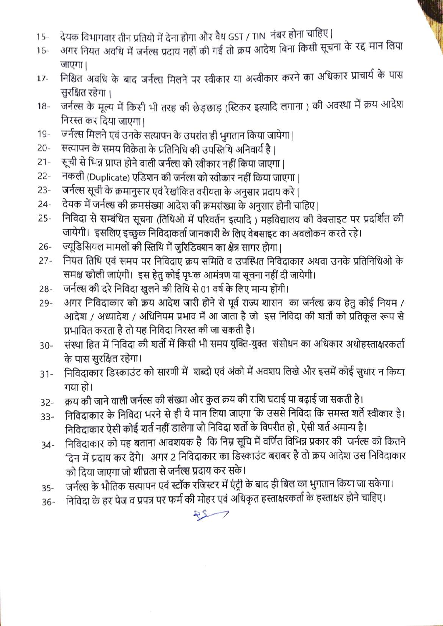- देयक विभागवार तीन प्रतियो में देना होगा और वैध GST / TIN नंबर होना चाहिए |  $15 -$
- जनक विमानवार तान प्रांतवा में देना होना और बैंब उठा 7 m.c<br>अगर नियत अवधि में जर्नल्स प्रदाय नहीं की गई तो क्रय आदेश बिना किसी सूचना के रद्द मान लिया 16- जाएगा।
- नाएगा।<br>निश्चित अवधि के बाद जर्नल्स मिलने पर स्वीकार या अस्वीकार करने का अधिकार प्राचार्य के पास 17 सुरक्षित रहेगा।
- जर्नल्स के मूल्य में किसी भी तरह की छेड़छाड़ (स्टिकर इत्यादि लगाना) की अवस्था में क्रय आदेश 18 निरस्त कर दिया जाएगा |
- जर्नल्स मिलने एवं उनके सत्यापन के उपरांत ही भुगतान किया जायेगा |  $19 -$
- $20 -$ सत्यापन के समय विक्रेता के प्रतिनिधि की उपस्तिथि अनिवार्य है ।
- सूची से भिन्न प्राप्त होने वाली जर्नल्स को स्वीकार नहीं किया जाएगा |  $21 -$
- $22 -$ नकली (Duplicate) एडिशन की जर्नल्स को स्वीकार नहीं किया जाएगा |
- जर्नल्स सूची के क्रमानुसार एवं रेखांकित वरीयता के अनुसार प्रदाय करे ।  $23 -$
- देयक में जर्नल्स की क्रमसंख्या आदेश की क्रमसंख्या के अनुसार होनी चाहिए |  $24 -$
- निविदा से सम्बंधित सूचना (तिथिओ में परिवर्तन इत्यादि) महविद्यालय की वेबसाइट पर प्रदर्शित की  $25 -$ जायेगी। इसलिए इच्छुक निविदाकर्ता जानकारी के लिए वेबसाइट का अवलोकन करते रहे।
- ज्यूडिसियल मामलों की स्तिथि में जरिडिक्शन का क्षेत्र सागर होगा। 26-
- नियत तिथि एवं समय पर निविदाए क्रय समिति व उपस्थित निविदाकार अथवा उनके प्रतिनिधिओ के 27- समक्ष खोली जाएंगी। इस हेतु कोई पृथक आमंत्रण या सूचना नहीं दी जायेगी।
- जर्नल्स की दरे निविदा खुलने की तिथि से 01 वर्ष के लिए मान्य होंगी। 28-
- अगर निविदाकार को क्रय आदेश जारी होने से पूर्व राज्य शासन का जर्नल्स क्रय हेतु कोई नियम /  $29 -$ आदेश / अध्यादेश / अधिनियम प्रभाव में आ जाता है जो इस निविदा की शर्तो को प्रतिकुल रूप से प्रभावित करता है तो यह निविदा निरस्त की जा सकती है।
- संस्था हित में निविदा की शर्तों में किसी भी समय युक्ति-युक्त संसोधन का अधिकार अधोहस्ताक्षरकर्ता 30- के पास सरक्षित रहेगा।
- निविदाकार डिस्काउंट को सारणी में शब्दो एवं अंको में अवशय लिखे और इसमें कोई सुधार न किया 31- गया हो।
- क्रय की जाने वाली जर्नल्स की संख्या और कुल क्रय की राशि घटाई या बढ़ाई जा सकती है। 32-
- निविदाकार के निविदा भरने से ही ये मान लिया जाएगा कि उससे निविदा कि समस्त शर्ते स्वीकार है। 33- निविदाकार ऐसी कोई शर्त नहीं डालेगा जो निविदा शर्तो के विपरीत हो , ऐसी शर्त अमान्य है।
- निविदाकार को यह बताना आवशयक है कि निम्न सूचि में वर्णित विभिन्न प्रकार की जर्नल्स को कितने 34- दिन में प्रदाय कर देंगे। अगर 2 निविदाकार का डिस्काउंट बराबर है तो क्रय आदेश उस निविदाकार को दिया जाएगा जो शीघ्रता से जर्नल्स प्रदाय कर सके।
- जर्नाल्स के भौतिक सत्यापन एवं स्टॉक रजिस्टर में एंट्री के बाद ही बिल का भुगतान किया जा सकेगा। 35
- निविदा के हर पेज व प्रपत्र पर फर्म की मोहर एवं अधिकृत हस्ताक्षरकर्ता के हस्ताक्षर होने चाहिए।  $36 -$

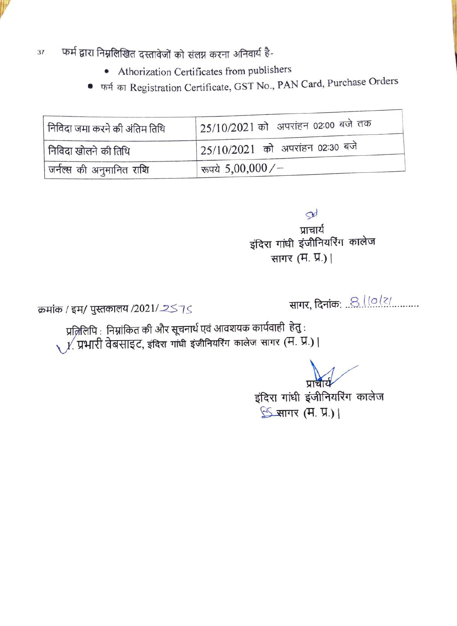

- फर्म द्वारा निम्नलिखित दस्तावेजों को संलग्न करना अनिवार्य है-37.
	- Athorization Certificates from publishers
	- फर्म का Registration Certificate, GST No., PAN Card, Purchase Orders  $\bullet$

| निविदा जमा करने की अंतिम तिथि | <sup>1</sup> 25/10/2021 को अपरांहन 02:00 बजे तक |
|-------------------------------|-------------------------------------------------|
| निविदा खोलने की तिथि          | <sup>1</sup> 25/10/2021 को अपरांहन 02:30 बजे    |
| जर्नल्स की अनुमानित राशि      | रूपये 5,00,000/-                                |

Sd प्राचार्य इंदिरा गांधी इंजीनियरिंग कालेज सागर (म. प्र.) |

क्रमांक / इम/ पुस्तकालय /2021/2575

सागर, दिनांक: .. 8 10/2/

प्रज़िलिपि : निम्नांकित की और सूचनार्थ एवं आवशयक कार्यवाही हेतु :  $\chi$  / प्रभारी वेबसाइट, इंदिरा गांधी इंजीनियरिंग कालेज सागर (म. प्र.) |

प्राचार्य

इंदिरा गांधी इंजीनियरिंग कालेज S सागर (म. प्र.) |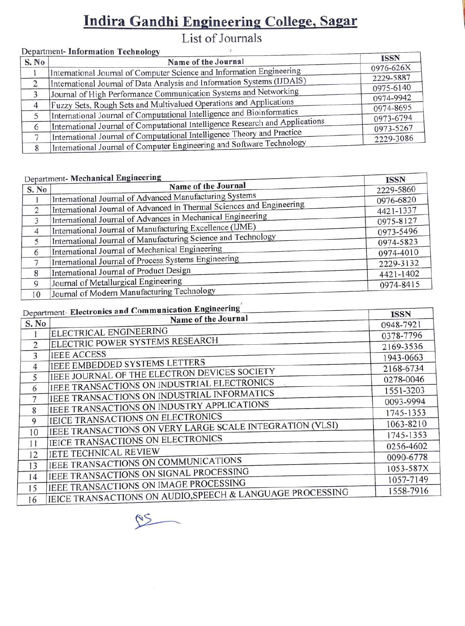# Indira Gandhi Engineering College, Sagar

## List of Journals

#### Department- Information Technology

| S. No | Name of the Journal                                                           | <b>ISSN</b> |
|-------|-------------------------------------------------------------------------------|-------------|
|       | International Journal of Computer Science and Information Engineering         | 0976-626X   |
|       |                                                                               | 2229-5887   |
|       | International Journal of Data Analysis and Information Systems (IJDAIS)       | 0975-6140   |
|       | Journal of High Performance Communication Systems and Networking              | 0974-9942   |
| 4     | Fuzzy Sets, Rough Sets and Multivalued Operations and Applications            | 0974-8695   |
|       | International Journal of Computational Intelligence and Bioinformatics        | 0973-6794   |
| 6     | International Journal of Computational Intelligence Research and Applications | 0973-5267   |
|       | International Journal of Computational Intelligence Theory and Practice       | 2229-3086   |
|       | International Journal of Computer Engineering and Software Technology         |             |

|                | Department- Mechanical Engineering                                    | <b>ISSN</b> |
|----------------|-----------------------------------------------------------------------|-------------|
| S. No          | Name of the Journal                                                   | 2229-5860   |
|                | International Journal of Advanced Manufacturing Systems               | 0976-6820   |
| 2              | International Journal of Advanced in Thermal Sciences and Engineering | 4421-1337   |
| 3              | International Journal of Advances in Mechanical Engineering           | 0975-8127   |
| $\overline{4}$ | International Journal of Manufacturing Excellence (IJME)              | 0973-5496   |
| 5              | International Journal of Manufacturing Science and Technology         | 0974-5823   |
| 6              | International Journal of Mechanical Engineering                       | 0974-4010   |
| 7              | International Journal of Process Systems Engineering                  | 2229-3132   |
| 8              | International Journal of Product Design                               | 4421-1402   |
| 9              | Journal of Metallurgical Engineering                                  | 0974-8415   |
| 10             | Journal of Modern Manufacturing Technology                            |             |

#### $\pm$  Electronics and Communication Engineering

|                | Department- Electronics and Communication Engineers<br>Name of the Journal | <b>ISSN</b> |
|----------------|----------------------------------------------------------------------------|-------------|
| S. No          |                                                                            | 0948-7921   |
|                | ELECTRICAL ENGINEERING                                                     | 0378-7796   |
| 2              | ELECTRIC POWER SYSTEMS RESEARCH                                            | 2169-3536   |
| 3              | <b>IEEE ACCESS</b>                                                         | 1943-0663   |
| $\overline{4}$ | IEEE EMBEDDED SYSTEMS LETTERS                                              | 2168-6734   |
| 5              | IEEE JOURNAL OF THE ELECTRON DEVICES SOCIETY                               | 0278-0046   |
| 6              | JEEE TRANSACTIONS ON INDUSTRIAL ELECTRONICS                                | 1551-3203   |
| 7              | IEEE TRANSACTIONS ON INDUSTRIAL INFORMATICS                                | 0093-9994   |
| 8              | JEEE TRANSACTIONS ON INDUSTRY APPLICATIONS                                 | 1745-1353   |
| 9              | IEICE TRANSACTIONS ON ELECTRONICS                                          | 1063-8210   |
| 10             | IEEE TRANSACTIONS ON VERY LARGE SCALE INTEGRATION (VLSI)                   | 1745-1353   |
| 11             | IEICE TRANSACTIONS ON ELECTRONICS                                          | 0256-4602   |
| 12             | IETE TECHNICAL REVIEW                                                      | 0090-6778   |
| 13             | IEEE TRANSACTIONS ON COMMUNICATIONS                                        | 1053-587X   |
| 14             | IEEE TRANSACTIONS ON SIGNAL PROCESSING                                     | 1057-7149   |
| 15             | IEEE TRANSACTIONS ON IMAGE PROCESSING                                      | 1558-7916   |
| 16             | IEICE TRANSACTIONS ON AUDIO, SPEECH & LANGUAGE PROCESSING                  |             |